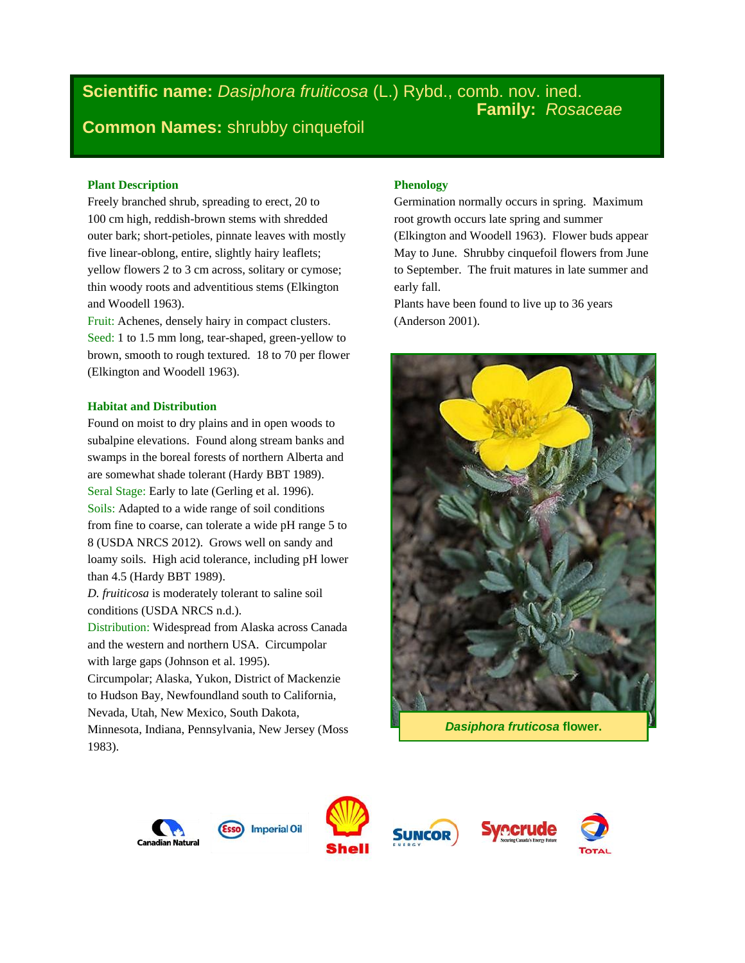# **Scientific name:** *Dasiphora fruiticosa* (L.) Rybd., comb. nov. ined. **Family:** *Rosaceae* **Common Names:** shrubby cinquefoil

## **Plant Description**

Freely branched shrub, spreading to erect, 20 to 100 cm high, reddish-brown stems with shredded outer bark; short-petioles, pinnate leaves with mostly five linear-oblong, entire, slightly hairy leaflets; yellow flowers 2 to 3 cm across, solitary or cymose; thin woody roots and adventitious stems (Elkington and Woodell 1963).

Fruit: Achenes, densely hairy in compact clusters. Seed: 1 to 1.5 mm long, tear-shaped, green-yellow to brown, smooth to rough textured. 18 to 70 per flower (Elkington and Woodell 1963).

#### **Habitat and Distribution**

Found on moist to dry plains and in open woods to subalpine elevations. Found along stream banks and swamps in the boreal forests of northern Alberta and are somewhat shade tolerant (Hardy BBT 1989). Seral Stage: Early to late (Gerling et al. 1996). Soils: Adapted to a wide range of soil conditions from fine to coarse, can tolerate a wide pH range 5 to 8 (USDA NRCS 2012). Grows well on sandy and loamy soils. High acid tolerance, including pH lower than 4.5 (Hardy BBT 1989).

*D. fruiticosa* is moderately tolerant to saline soil conditions (USDA NRCS n.d.).

Distribution: Widespread from Alaska across Canada and the western and northern USA. Circumpolar with large gaps (Johnson et al. 1995).

Circumpolar; Alaska, Yukon, District of Mackenzie to Hudson Bay, Newfoundland south to California, Nevada, Utah, New Mexico, South Dakota,

Minnesota, Indiana, Pennsylvania, New Jersey (Moss 1983).

## **Phenology**

Germination normally occurs in spring. Maximum root growth occurs late spring and summer (Elkington and Woodell 1963). Flower buds appear May to June. Shrubby cinquefoil flowers from June to September. The fruit matures in late summer and early fall.

Plants have been found to live up to 36 years (Anderson 2001).



*Dasiphora fruticosa* **flower.**









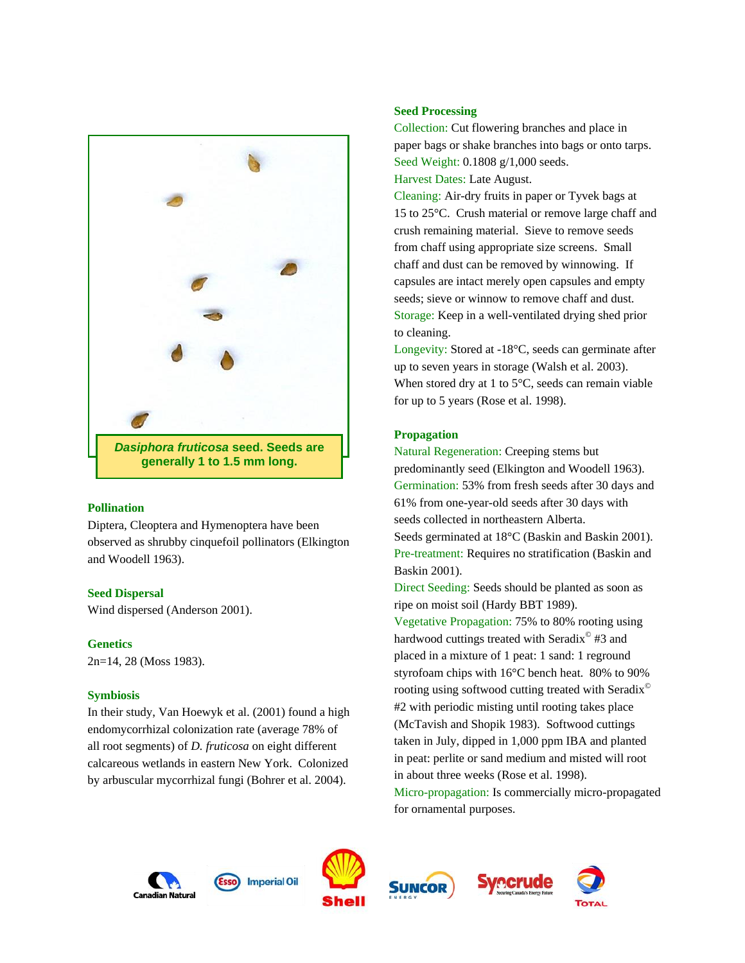

## **Pollination**

Diptera, Cleoptera and Hymenoptera have been observed as shrubby cinquefoil pollinators (Elkington and Woodell 1963).

#### **Seed Dispersal**

Wind dispersed (Anderson 2001).

# **Genetics**

2n=14, 28 (Moss 1983).

## **Symbiosis**

In their study, Van Hoewyk et al. (2001) found a high endomycorrhizal colonization rate (average 78% of all root segments) of *D. fruticosa* on eight different calcareous wetlands in eastern New York. Colonized by arbuscular mycorrhizal fungi (Bohrer et al. 2004).

## **Seed Processing**

Collection: Cut flowering branches and place in paper bags or shake branches into bags or onto tarps. Seed Weight: 0.1808 g/1,000 seeds. Harvest Dates: Late August.

Cleaning: Air-dry fruits in paper or Tyvek bags at 15 to 25°C. Crush material or remove large chaff and crush remaining material. Sieve to remove seeds from chaff using appropriate size screens. Small chaff and dust can be removed by winnowing. If capsules are intact merely open capsules and empty seeds; sieve or winnow to remove chaff and dust. Storage: Keep in a well-ventilated drying shed prior to cleaning.

Longevity: Stored at -18°C, seeds can germinate after up to seven years in storage (Walsh et al. 2003). When stored dry at 1 to 5°C, seeds can remain viable for up to 5 years (Rose et al. 1998).

## **Propagation**

Natural Regeneration: Creeping stems but predominantly seed (Elkington and Woodell 1963). Germination: 53% from fresh seeds after 30 days and 61% from one-year-old seeds after 30 days with seeds collected in northeastern Alberta. Seeds germinated at 18°C (Baskin and Baskin 2001). Pre-treatment: Requires no stratification (Baskin and Baskin 2001).

Direct Seeding: Seeds should be planted as soon as ripe on moist soil (Hardy BBT 1989). Vegetative Propagation: 75% to 80% rooting using

hardwood cuttings treated with Seradix<sup>©</sup> #3 and placed in a mixture of 1 peat: 1 sand: 1 reground styrofoam chips with 16°C bench heat. 80% to 90% rooting using softwood cutting treated with Seradix© #2 with periodic misting until rooting takes place (McTavish and Shopik 1983). Softwood cuttings taken in July, dipped in 1,000 ppm IBA and planted in peat: perlite or sand medium and misted will root in about three weeks (Rose et al. 1998).

Micro-propagation: Is commercially micro-propagated for ornamental purposes.











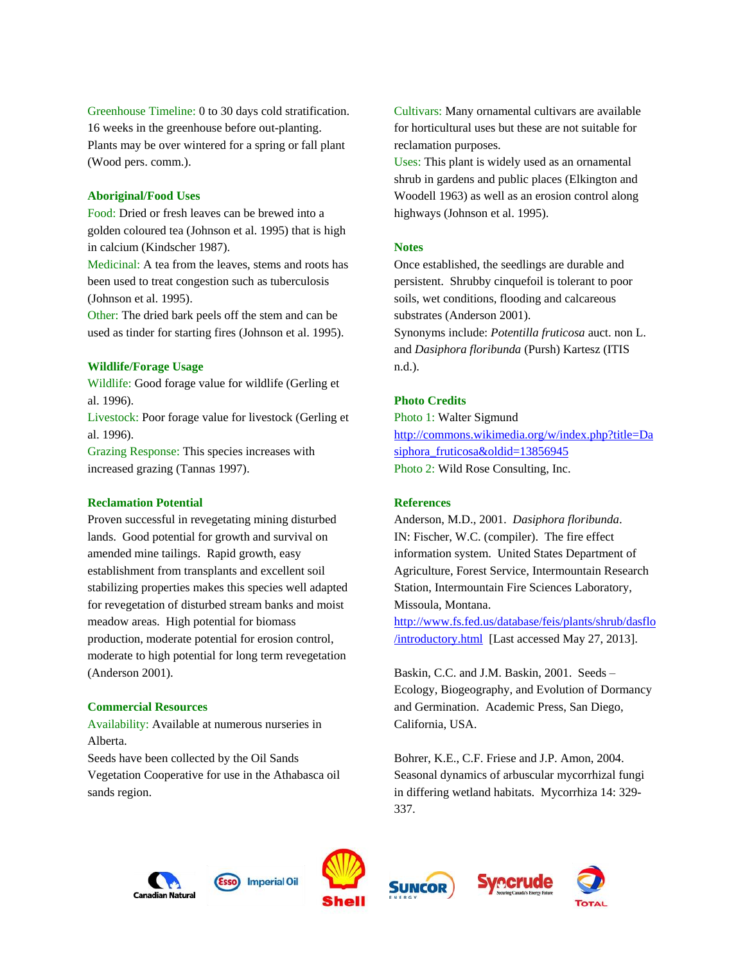Greenhouse Timeline: 0 to 30 days cold stratification. 16 weeks in the greenhouse before out-planting. Plants may be over wintered for a spring or fall plant (Wood pers. comm.).

#### **Aboriginal/Food Uses**

Food: Dried or fresh leaves can be brewed into a golden coloured tea (Johnson et al. 1995) that is high in calcium (Kindscher 1987).

Medicinal: A tea from the leaves, stems and roots has been used to treat congestion such as tuberculosis (Johnson et al. 1995).

Other: The dried bark peels off the stem and can be used as tinder for starting fires (Johnson et al. 1995).

## **Wildlife/Forage Usage**

Wildlife: Good forage value for wildlife (Gerling et al. 1996).

Livestock: Poor forage value for livestock (Gerling et al. 1996).

Grazing Response: This species increases with increased grazing (Tannas 1997).

#### **Reclamation Potential**

Proven successful in revegetating mining disturbed lands. Good potential for growth and survival on amended mine tailings. Rapid growth, easy establishment from transplants and excellent soil stabilizing properties makes this species well adapted for revegetation of disturbed stream banks and moist meadow areas. High potential for biomass production, moderate potential for erosion control, moderate to high potential for long term revegetation (Anderson 2001).

#### **Commercial Resources**

Availability: Available at numerous nurseries in Alberta.

Seeds have been collected by the Oil Sands Vegetation Cooperative for use in the Athabasca oil sands region.

Cultivars: Many ornamental cultivars are available for horticultural uses but these are not suitable for reclamation purposes.

Uses: This plant is widely used as an ornamental shrub in gardens and public places (Elkington and Woodell 1963) as well as an erosion control along highways (Johnson et al. 1995).

## **Notes**

Once established, the seedlings are durable and persistent. Shrubby cinquefoil is tolerant to poor soils, wet conditions, flooding and calcareous substrates (Anderson 2001).

Synonyms include: *Potentilla fruticosa* auct. non L. and *Dasiphora floribunda* (Pursh) Kartesz (ITIS n.d.).

## **Photo Credits**

Photo 1: Walter Sigmund [http://commons.wikimedia.org/w/index.php?title=Da](http://commons.wikimedia.org/w/index.php?title=Dasiphora_fruticosa&oldid=13856945) [siphora\\_fruticosa&oldid=13856945](http://commons.wikimedia.org/w/index.php?title=Dasiphora_fruticosa&oldid=13856945) Photo 2: Wild Rose Consulting, Inc.

#### **References**

Anderson, M.D., 2001. *Dasiphora floribunda*. IN: Fischer, W.C. (compiler). The fire effect information system. United States Department of Agriculture, Forest Service, Intermountain Research Station, Intermountain Fire Sciences Laboratory, Missoula, Montana.

[http://www.fs.fed.us/database/feis/plants/shrub/dasflo](http://www.fs.fed.us/database/feis/plants/shrub/dasflo/introductory.html) [/introductory.html](http://www.fs.fed.us/database/feis/plants/shrub/dasflo/introductory.html) [Last accessed May 27, 2013].

Baskin, C.C. and J.M. Baskin, 2001. Seeds – Ecology, Biogeography, and Evolution of Dormancy and Germination. Academic Press, San Diego, California, USA.

Bohrer, K.E., C.F. Friese and J.P. Amon, 2004. Seasonal dynamics of arbuscular mycorrhizal fungi in differing wetland habitats. Mycorrhiza 14: 329- 337.